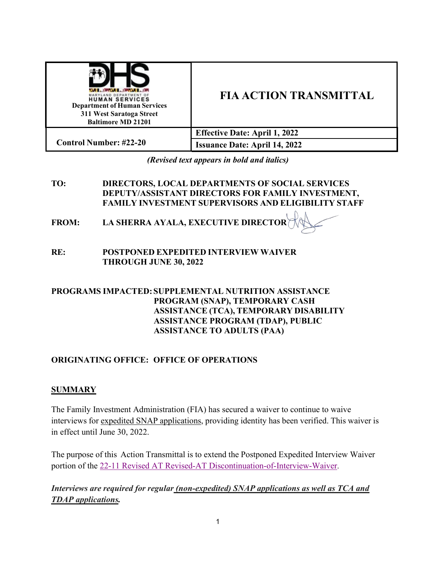| <b><i>DESCRIPTION CONTRACT</i></b><br>YLAND DEPARTMENT OF<br><b>HUMAN SERVICES</b><br><b>Department of Human Services</b><br>311 West Saratoga Street<br><b>Baltimore MD 21201</b> | <b>FIA ACTION TRANSMITTAL</b>        |
|------------------------------------------------------------------------------------------------------------------------------------------------------------------------------------|--------------------------------------|
|                                                                                                                                                                                    | <b>Effective Date: April 1, 2022</b> |
| <b>Control Number: #22-20</b>                                                                                                                                                      | <b>Issuance Date: April 14, 2022</b> |

*(Revised text appears in bold and italics)*

### **TO: DIRECTORS, LOCAL DEPARTMENTS OF SOCIAL SERVICES DEPUTY/ASSISTANT DIRECTORS FOR FAMILY INVESTMENT, FAMILY INVESTMENT SUPERVISORS AND ELIGIBILITY STAFF**

**FROM: LA SHERRA AYALA, EXECUTIVE DIRECTOR**

### **RE: POSTPONED EXPEDITED INTERVIEW WAIVER THROUGH JUNE 30, 2022**

### **PROGRAMS IMPACTED:SUPPLEMENTAL NUTRITION ASSISTANCE PROGRAM (SNAP), TEMPORARY CASH ASSISTANCE (TCA), TEMPORARY DISABILITY ASSISTANCE PROGRAM (TDAP), PUBLIC ASSISTANCE TO ADULTS (PAA)**

# **ORIGINATING OFFICE: OFFICE OF OPERATIONS**

## **SUMMARY**

The Family Investment Administration (FIA) has secured a waiver to continue to waive interviews for expedited SNAP applications, providing identity has been verified. This waiver is in effect until June 30, 2022.

The purpose of this Action Transmittal is to extend the Postponed Expedited Interview Waiver portion of the [22-11 Revised AT Revised-AT Discontinuation-of-Interview-Waiver.](https://dhs.maryland.gov/documents/FIA/Action%20Transmittals-AT%20-%20Information%20Memo-IM/AT2022/22-11%20AT%20-%20Revised%20Discontinuation%20of%20Interview%20Waiver.pdf)

*Interviews are required for regular (non-expedited) SNAP applications as well as TCA and TDAP applications.*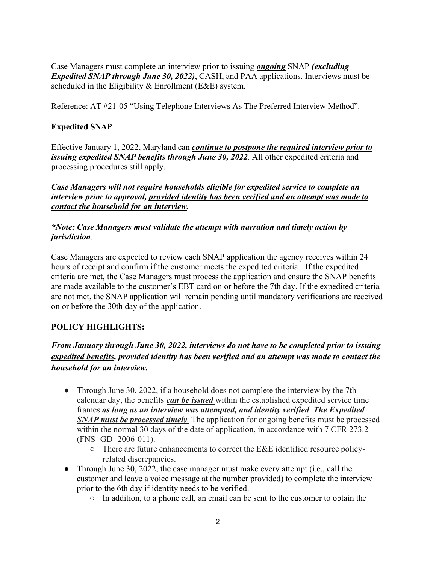Case Managers must complete an interview prior to issuing *ongoing* SNAP *(excluding Expedited SNAP through June 30, 2022)*, CASH, and PAA applications. Interviews must be scheduled in the Eligibility & Enrollment (E&E) system.

Reference: AT #21-05 "Using Telephone Interviews As The Preferred Interview Method".

### **Expedited SNAP**

Effective January 1, 2022, Maryland can *continue to postpone the required interview prior to issuing expedited SNAP benefits through June 30, 2022.* All other expedited criteria and processing procedures still apply.

*Case Managers will not require households eligible for expedited service to complete an interview prior to approval, provided identity has been verified and an attempt was made to contact the household for an interview.* 

#### *\*Note: Case Managers must validate the attempt with narration and timely action by jurisdiction.*

Case Managers are expected to review each SNAP application the agency receives within 24 hours of receipt and confirm if the customer meets the expedited criteria. If the expedited criteria are met, the Case Managers must process the application and ensure the SNAP benefits are made available to the customer's EBT card on or before the 7th day. If the expedited criteria are not met, the SNAP application will remain pending until mandatory verifications are received on or before the 30th day of the application.

## **POLICY HIGHLIGHTS:**

## *From January through June 30, 2022, interviews do not have to be completed prior to issuing expedited benefits, provided identity has been verified and an attempt was made to contact the household for an interview.*

- Through June 30, 2022, if a household does not complete the interview by the 7th calendar day, the benefits *can be issued* within the established expedited service time frames *as long as an interview was attempted, and identity verified*. *The Expedited SNAP must be processed timely.* The application for ongoing benefits must be processed within the normal 30 days of the date of application, in accordance with 7 CFR 273.2 (FNS- GD- 2006-011).
	- There are future enhancements to correct the E&E identified resource policyrelated discrepancies.
- Through June 30, 2022, the case manager must make every attempt (i.e., call the customer and leave a voice message at the number provided) to complete the interview prior to the 6th day if identity needs to be verified.
	- In addition, to a phone call, an email can be sent to the customer to obtain the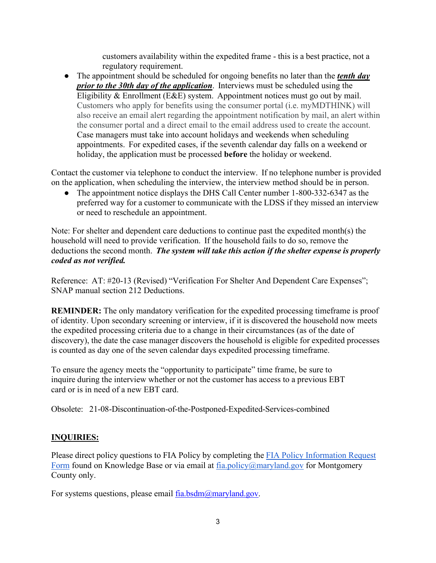customers availability within the expedited frame - this is a best practice, not a regulatory requirement.

● The appointment should be scheduled for ongoing benefits no later than the *tenth day prior to the 30th day of the application*. Interviews must be scheduled using the Eligibility & Enrollment (E&E) system. Appointment notices must go out by mail. Customers who apply for benefits using the consumer portal (i.e. myMDTHINK) will also receive an email alert regarding the appointment notification by mail, an alert within the consumer portal and a direct email to the email address used to create the account. Case managers must take into account holidays and weekends when scheduling appointments. For expedited cases, if the seventh calendar day falls on a weekend or holiday, the application must be processed **before** the holiday or weekend.

Contact the customer via telephone to conduct the interview. If no telephone number is provided on the application, when scheduling the interview, the interview method should be in person.

• The appointment notice displays the DHS Call Center number 1-800-332-6347 as the preferred way for a customer to communicate with the LDSS if they missed an interview or need to reschedule an appointment.

Note: For shelter and dependent care deductions to continue past the expedited month(s) the household will need to provide verification. If the household fails to do so, remove the deductions the second month. *The system will take this action if the shelter expense is properly coded as not verified.* 

Reference: AT: #20-13 (Revised) "Verification For Shelter And Dependent Care Expenses"; SNAP manual section 212 Deductions.

**REMINDER:** The only mandatory verification for the expedited processing timeframe is proof of identity. Upon secondary screening or interview, if it is discovered the household now meets the expedited processing criteria due to a change in their circumstances (as of the date of discovery), the date the case manager discovers the household is eligible for expedited processes is counted as day one of the seven calendar days expedited processing timeframe.

To ensure the agency meets the "opportunity to participate" time frame, be sure to inquire during the interview whether or not the customer has access to a previous EBT card or is in need of a new EBT card.

Obsolete: 21-08-Discontinuation-of-the-Postponed-Expedited-Services-combined

#### **INQUIRIES:**

Please direct policy questions to FIA Policy by completing the FIA Policy [Information](https://kb.dhs.maryland.gov/family-investment-administration/contact-us-with-your-fia-program-eligibility-policy-question/) Request [Form](https://kb.dhs.maryland.gov/family-investment-administration/contact-us-with-your-fia-program-eligibility-policy-question/) found on Knowledge Base or via email at  $f_1$  is not a policy  $\widehat{a}$  maryland.gov for Montgomery County only.

For systems questions, please email [fia.bsdm@maryland.gov.](mailto:fia.bsdm@maryland.gov)